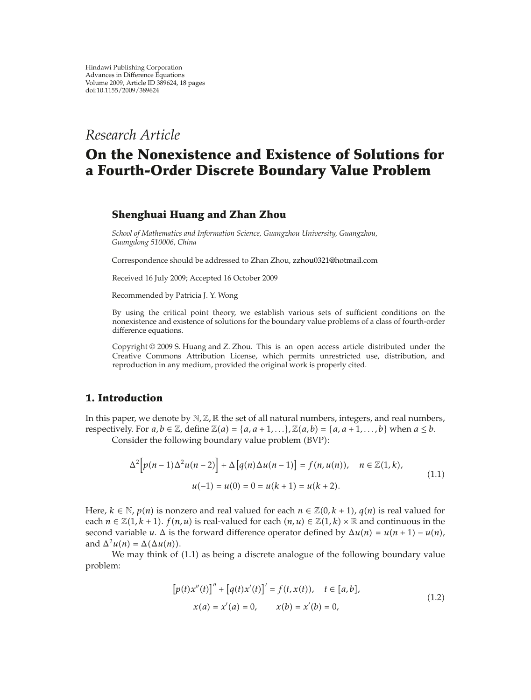# *Research Article*

# **On the Nonexistence and Existence of Solutions for a Fourth-Order Discrete Boundary Value Problem**

### **Shenghuai Huang and Zhan Zhou**

*School of Mathematics and Information Science, Guangzhou University, Guangzhou, Guangdong 510006, China*

Correspondence should be addressed to Zhan Zhou, zzhou0321@hotmail.com

Received 16 July 2009; Accepted 16 October 2009

Recommended by Patricia J. Y. Wong

By using the critical point theory, we establish various sets of sufficient conditions on the nonexistence and existence of solutions for the boundary value problems of a class of fourth-order difference equations.

Copyright  $\odot$  2009 S. Huang and Z. Zhou. This is an open access article distributed under the Creative Commons Attribution License, which permits unrestricted use, distribution, and reproduction in any medium, provided the original work is properly cited.

#### **1. Introduction**

In this paper, we denote by  $N$ ,  $\mathbb{Z}$ ,  $\mathbb{R}$  the set of all natural numbers, integers, and real numbers, respectively. For  $a, b \in \mathbb{Z}$ , define  $\mathbb{Z}(a) = \{a, a+1, \ldots\}$ ,  $\mathbb{Z}(a, b) = \{a, a+1, \ldots, b\}$  when  $a \leq b$ .

Consider the following boundary value problem (BVP):

$$
\Delta^{2}\Big[p(n-1)\Delta^{2}u(n-2)\Big] + \Delta\Big[q(n)\Delta u(n-1)\Big] = f(n,u(n)), \quad n \in \mathbb{Z}(1,k),
$$
  

$$
u(-1) = u(0) = 0 = u(k+1) = u(k+2).
$$
 (1.1)

Here,  $k \in \mathbb{N}$ ,  $p(n)$  is nonzero and real valued for each  $n \in \mathbb{Z}(0, k+1)$ ,  $q(n)$  is real valued for each  $n \in \mathbb{Z}(1, k + 1)$ .  $f(n, u)$  is real-valued for each  $(n, u) \in \mathbb{Z}(1, k) \times \mathbb{R}$  and continuous in the second variable *u*.  $\Delta$  is the forward difference operator defined by  $\Delta u(n) = u(n+1) - u(n)$ , and  $\Delta^2 u(n) = \Delta(\Delta u(n))$ .

We may think of  $(1.1)$  as being a discrete analogue of the following boundary value problem:

$$
[p(t)x''(t)]'' + [q(t)x'(t)]' = f(t, x(t)), \quad t \in [a, b],
$$
  

$$
x(a) = x'(a) = 0, \qquad x(b) = x'(b) = 0,
$$
 (1.2)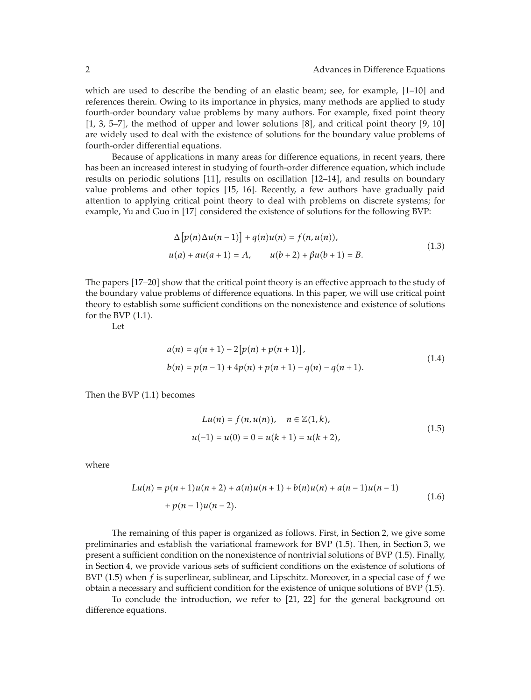which are used to describe the bending of an elastic beam; see, for example, [1–10] and references therein. Owing to its importance in physics, many methods are applied to study fourth-order boundary value problems by many authors. For example, fixed point theory  $[1, 3, 5-7]$ , the method of upper and lower solutions  $[8]$ , and critical point theory  $[9, 10]$ are widely used to deal with the existence of solutions for the boundary value problems of fourth-order differential equations.

Because of applications in many areas for difference equations, in recent years, there has been an increased interest in studying of fourth-order difference equation, which include results on periodic solutions [11], results on oscillation [12–14], and results on boundary value problems and other topics [15, 16]. Recently, a few authors have gradually paid attention to applying critical point theory to deal with problems on discrete systems; for example, Yu and Guo in [17] considered the existence of solutions for the following BVP:

$$
\Delta [p(n)\Delta u(n-1)] + q(n)u(n) = f(n, u(n)),
$$
  
 
$$
u(a) + \alpha u(a+1) = A, \qquad u(b+2) + \beta u(b+1) = B.
$$
 (1.3)

The papers [17–20] show that the critical point theory is an effective approach to the study of the boundary value problems of difference equations. In this paper, we will use critical point theory to establish some sufficient conditions on the nonexistence and existence of solutions for the BVP  $(1.1)$ .

Let

$$
a(n) = q(n + 1) - 2[p(n) + p(n + 1)],
$$
  
\n
$$
b(n) = p(n - 1) + 4p(n) + p(n + 1) - q(n) - q(n + 1).
$$
\n(1.4)

Then the BVP  $(1.1)$  becomes

$$
Lu(n) = f(n, u(n)), \quad n \in \mathbb{Z}(1, k),
$$
  

$$
u(-1) = u(0) = 0 = u(k + 1) = u(k + 2),
$$
 (1.5)

where

$$
Lu(n) = p(n+1)u(n+2) + a(n)u(n+1) + b(n)u(n) + a(n-1)u(n-1)
$$
  
+  $p(n-1)u(n-2)$ . (1.6)

The remaining of this paper is organized as follows. First, in Section 2, we give some preliminaries and establish the variational framework for BVP (1.5). Then, in Section 3, we present a sufficient condition on the nonexistence of nontrivial solutions of BVP 1.5. Finally, in Section 4, we provide various sets of sufficient conditions on the existence of solutions of BVP 1.5 when *f* is superlinear, sublinear, and Lipschitz. Moreover, in a special case of *f* we obtain a necessary and sufficient condition for the existence of unique solutions of BVP (1.5).

To conclude the introduction, we refer to 21, 22 for the general background on difference equations.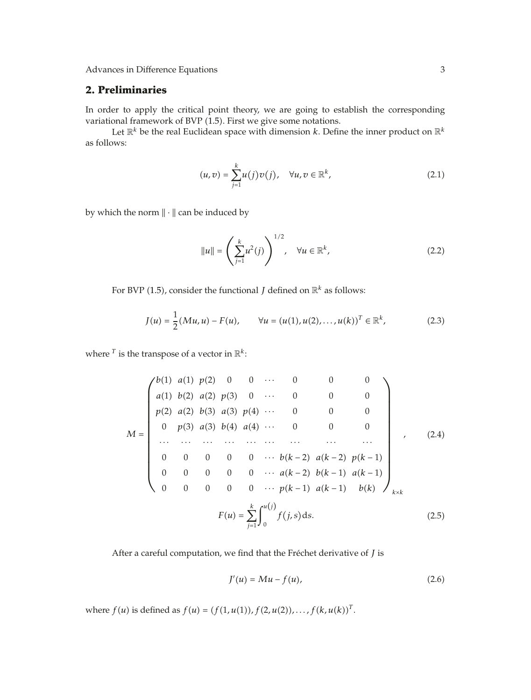## **2. Preliminaries**

In order to apply the critical point theory, we are going to establish the corresponding variational framework of BVP (1.5). First we give some notations.

Let  $\mathbb{R}^k$  be the real Euclidean space with dimension *k*. Define the inner product on  $\mathbb{R}^k$ as follows:

$$
(u,v) = \sum_{j=1}^{k} u(j)v(j), \quad \forall u, v \in \mathbb{R}^{k},
$$
\n(2.1)

by which the norm  $\|\cdot\|$  can be induced by

$$
\|u\| = \left(\sum_{j=1}^{k} u^2(j)\right)^{1/2}, \quad \forall u \in \mathbb{R}^k,
$$
\n(2.2)

For BVP (1.5), consider the functional *J* defined on  $\mathbb{R}^k$  as follows:

$$
J(u) = \frac{1}{2} (Mu, u) - F(u), \qquad \forall u = (u(1), u(2), \dots, u(k))^T \in \mathbb{R}^k,
$$
 (2.3)

where  $^T$  is the transpose of a vector in  $\mathbb{R}^k$ :

$$
M = \begin{pmatrix} b(1) & a(1) & p(2) & 0 & 0 & \cdots & 0 & 0 & 0 \\ a(1) & b(2) & a(2) & p(3) & 0 & \cdots & 0 & 0 & 0 \\ p(2) & a(2) & b(3) & a(3) & p(4) & \cdots & 0 & 0 & 0 \\ 0 & p(3) & a(3) & b(4) & a(4) & \cdots & 0 & 0 & 0 \\ \vdots & \vdots & \vdots & \vdots & \vdots & \ddots & \vdots & \vdots & \vdots \\ 0 & 0 & 0 & 0 & 0 & \cdots & b(k-2) & a(k-2) & p(k-1) \\ 0 & 0 & 0 & 0 & 0 & \cdots & a(k-2) & b(k-1) & a(k-1) \\ 0 & 0 & 0 & 0 & \cdots & p(k-1) & a(k-1) & b(k) \end{pmatrix}_{k \times k}
$$
(2.5)

After a careful computation, we find that the Fréchet derivative of  $J$  is

$$
J'(u) = Mu - f(u),\tag{2.6}
$$

where  $f(u)$  is defined as  $f(u) = (f(1, u(1)), f(2, u(2)), \ldots, f(k, u(k))^{T}$ .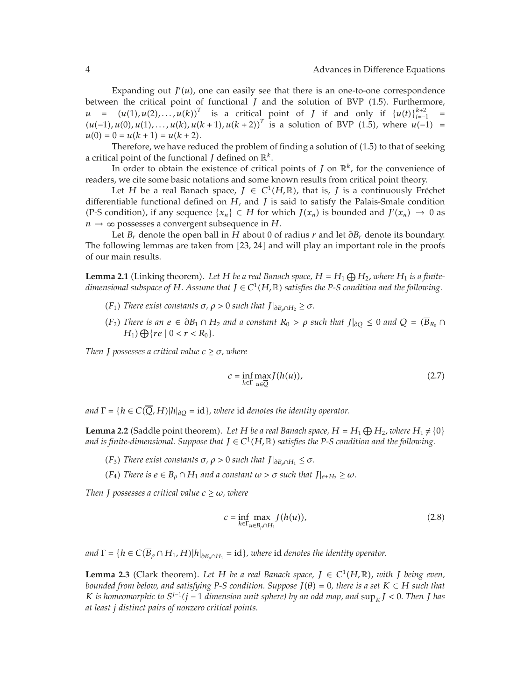Expanding out  $J'(u)$ , one can easily see that there is an one-to-one correspondence<br>in the critical point of functional L and the solution of  $BVP$  (1.5). Eurthermore between the critical point of functional *J* and the solution of BVP (1.5). Furthermore, *u* =  $(u(1), u(2), \ldots, u(k))^T$  is a critical point of *J* if and only if  $\{u(t)\}_{t=1}^{k+2}$  =  $(u(-1), u(0), u(1), \ldots, u(k+1), u(k+2))^T$  is a solution of BVP (1.5) where  $u(-1)$  =  $(u(-1), u(0), u(1), \ldots, u(k), u(k+1), u(k+2))$ <sup>*I*</sup> is a solution of BVP (1.5), where  $u(-1) = u(0) = 0 = u(k+1) = u(k+2)$  $u(0) = 0 = u(k + 1) = u(k + 2).$ 

Therefore, we have reduced the problem of finding a solution of  $(1.5)$  to that of seeking a critical point of the functional *J* defined on  $\mathbb{R}^k$ .

In order to obtain the existence of critical points of *J* on  $\mathbb{R}^k$ , for the convenience of readers, we cite some basic notations and some known results from critical point theory.

Let *H* be a real Banach space,  $J \in C^1(H,\mathbb{R})$ , that is, *J* is a continuously Fréchet differentiable functional defined on *H*, and *J* is said to satisfy the Palais-Smale condition (P-S condition), if any sequence  $\{x_n\} \subset H$  for which  $J(x_n)$  is bounded and  $J'(x_n) \to 0$  as  $n \rightarrow \infty$  possesses a convergent subsequence in *H*.

Let *Br* denote the open ball in *<sup>H</sup>* about 0 of radius *<sup>r</sup>* and let *∂Br* denote its boundary. The following lemmas are taken from [23, 24] and will play an important role in the proofs of our main results.

**Lemma 2.1** (Linking theorem). Let *H* be a real Banach space,  $H = H_1 \bigoplus H_2$ , where  $H_1$  is a finite-<br>dimensional subspace of *H* Assume that  $I \in C^1(H \mathbb{R})$  satisfies the *P-S* condition and the follogying *dimensional subspace of H. Assume that*  $J \in C^1(H, \mathbb{R})$  *satisfies the P-S condition and the following.* 

- *(F<sub>1</sub>) There exist constants*  $\sigma$ *,*  $\rho$  > 0 *such that*  $J|_{\partial B_{\rho} \cap H_2} \ge \sigma$ *.*
- *(F*<sub>2</sub>) *There is an*  $e \in \partial B_1 \cap H_2$  *and a constant*  $R_0 > \rho$  *such that*  $J|_{\partial Q} \leq 0$  *and*  $Q = (\overline{B}_{R_0} \cap$  $H_1$ )  $\bigoplus \{ re \mid 0 < r < R_0 \}.$

*Then J* possesses a critical value  $c \geq \sigma$ , where

$$
c = \inf_{h \in \Gamma} \max_{u \in \overline{Q}} J(h(u)), \tag{2.7}
$$

*and*  $\Gamma = \{h \in C(\overline{Q}, H)|h|_{\partial Q} = id\}$ , where id denotes the identity operator.

**Lemma 2.2** (Saddle point theorem). Let *H* be a real Banach space,  $H = H_1 \bigoplus H_2$ , where  $H_1 \neq \{0\}$  and is finite-dimensional. Sunnose that  $I \in C^1(H \mathbb{R})$  satisfies the P-S condition and the following *and is finite-dimensional. Suppose that*  $J \in C^1(H, \mathbb{R})$  *satisfies the P-S condition and the following.* 

- *(F<sub>3</sub>) There exist constants*  $\sigma$ *,*  $\rho$  > 0 *such that*  $J|_{\partial B_{\rho} \cap H_1} \leq \sigma$ .
- $(F_4)$  *There is*  $e \in B_0 \cap H_1$  *and a constant*  $\omega > \sigma$  *such that*  $J|_{e+H_2} \ge \omega$ .

*Then J* possesses a critical value  $c \geq \omega$ , where

$$
c = \inf_{h \in \Gamma} \max_{u \in \overline{B}_{\rho} \cap H_1} J(h(u)), \tag{2.8}
$$

*and*  $\Gamma = \{h \in C(\overline{B}_{\rho} \cap H_1, H) | h|_{\partial B_{\rho} \cap H_1} = id\}$ , where id *denotes the identity operator.* 

**Lemma 2.3** (Clark theorem). Let H be a real Banach space,  $J \in C^1(H,\mathbb{R})$ , with *J being even, bounded from below, and satisfying P-S condition. Suppose*  $J(\theta) = 0$ , there is a set  $K \subset H$  such that *K is homeomorphic to*  $S^{j-1}(j-1)$  *dimension unit sphere) by an odd map, and*  $\sup_k J < 0$ *. Then J has at least j distinct pairs of nonzero critical points.*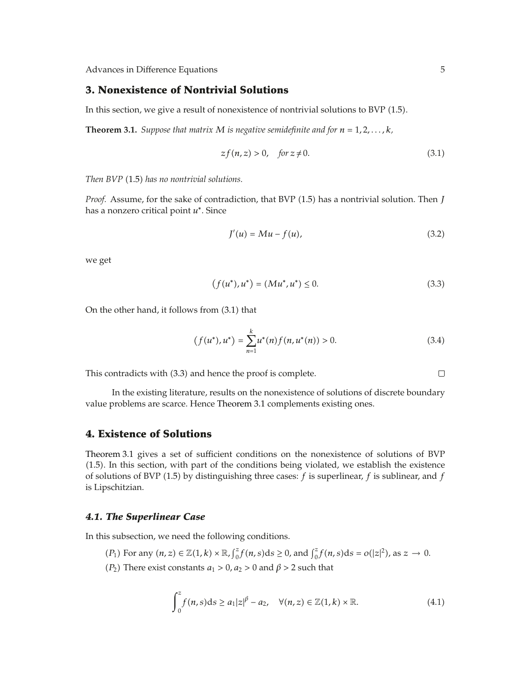#### **3. Nonexistence of Nontrivial Solutions**

In this section, we give a result of nonexistence of nontrivial solutions to BVP  $(1.5)$ .

**Theorem 3.1.** *Suppose that matrix M is negative semidefinite and for*  $n = 1, 2, \ldots, k$ *,* 

$$
zf(n,z) > 0, \quad \text{for } z \neq 0. \tag{3.1}
$$

*Then BVP* (1.5) has no nontrivial solutions.

*Proof.* Assume, for the sake of contradiction, that BVP (1.5) has a nontrivial solution. Then *J* has a nonzero critical point *<sup>u</sup>*<sup>∗</sup>. Since

$$
J'(u) = Mu - f(u),\tag{3.2}
$$

we get

$$
(f(u^*), u^*) = (Mu^*, u^*) \le 0.
$$
\n(3.3)

On the other hand, it follows from  $(3.1)$  that

$$
(f(u^*), u^*) = \sum_{n=1}^{k} u^*(n) f(n, u^*(n)) > 0.
$$
 (3.4)

This contradicts with (3.3) and hence the proof is complete.

In the existing literature, results on the nonexistence of solutions of discrete boundary value problems are scarce. Hence Theorem 3.1 complements existing ones.

#### **4. Existence of Solutions**

Theorem 3.1 gives a set of sufficient conditions on the nonexistence of solutions of BVP 1.5. In this section, with part of the conditions being violated, we establish the existence of solutions of BVP 1.5 by distinguishing three cases: *f* is superlinear, *f* is sublinear, and *f* is Lipschitzian.

#### *4.1. The Superlinear Case*

In this subsection, we need the following conditions.

- *P*<sub>1</sub> For any  $(n, z) \in \mathbb{Z}(1, k) \times \mathbb{R}$ ,  $\int_0^z f(n, s) ds \ge 0$ , and  $\int_0^z f(n, s) ds = o(|z|^2)$ , as  $z \to 0$ .
- *P*<sub>2</sub>) There exist constants  $a_1 > 0$ ,  $a_2 > 0$  and  $\beta > 2$  such that

$$
\int_0^z f(n,s)ds \ge a_1|z|^{\beta} - a_2, \quad \forall (n,z) \in \mathbb{Z}(1,k) \times \mathbb{R}.
$$
 (4.1)

 $\Box$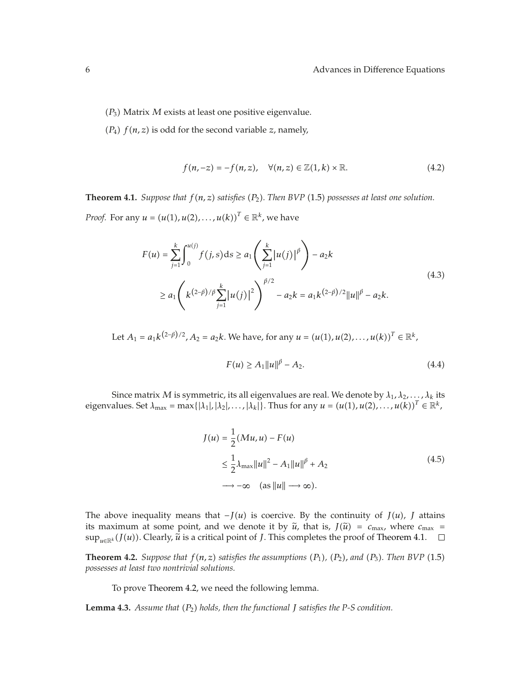- $(P_3)$  Matrix *M* exists at least one positive eigenvalue.
- $(P_4)$   $f(n, z)$  is odd for the second variable *z*, namely,

$$
f(n,-z) = -f(n,z), \quad \forall (n,z) \in \mathbb{Z}(1,k) \times \mathbb{R}.
$$
 (4.2)

**Theorem 4.1.** *Suppose that*  $f(n, z)$  *satisfies*  $(P_2)$ *. Then BVP* (1.5) *possesses at least one solution. Proof.* For any  $u = (u(1), u(2), \ldots, u(k))^T \in \mathbb{R}^k$ , we have

$$
F(u) = \sum_{j=1}^{k} \int_{0}^{u(j)} f(j, s) ds \ge a_1 \left( \sum_{j=1}^{k} |u(j)|^{\beta} \right) - a_2 k
$$
  
 
$$
\ge a_1 \left( k^{(2-\beta)/\beta} \sum_{j=1}^{k} |u(j)|^2 \right)^{\beta/2} - a_2 k = a_1 k^{(2-\beta)/2} ||u||^{\beta} - a_2 k.
$$
 (4.3)

Let  $A_1 = a_1 k^{(2-\beta)/2}$ ,  $A_2 = a_2 k$ . We have, for any  $u = (u(1), u(2), \ldots, u(k))^T \in \mathbb{R}^k$ ,

$$
F(u) \ge A_1 \|u\|^{\beta} - A_2. \tag{4.4}
$$

Since matrix *M* is symmetric, its all eigenvalues are real. We denote by  $\lambda_1, \lambda_2, \ldots, \lambda_k$  its eigenvalues. Set  $\lambda_{\text{max}} = \max\{| \lambda_1 |, | \lambda_2 |, \ldots, | \lambda_k | \}$ . Thus for any  $u = (u(1), u(2), \ldots, u(k))^T \in \mathbb{R}^k$ ,

$$
J(u) = \frac{1}{2} (Mu, u) - F(u)
$$
  
\n
$$
\leq \frac{1}{2} \lambda_{\text{max}} ||u||^2 - A_1 ||u||^{\beta} + A_2
$$
  
\n
$$
\longrightarrow -\infty \quad (as ||u|| \longrightarrow \infty).
$$
\n(4.5)

The above inequality means that  $-I(u)$  is coercive. By the continuity of  $J(u)$ ,  $J$  attains its maximum at some point, and we denote it by  $\tilde{u}$ , that is,  $J(\tilde{u}) = c_{\text{max}}$ , where  $c_{\text{max}} =$  $\sup_{u\in\mathbb{R}^k} (f(u))$ . Clearly,  $\widetilde{u}$  is a critical point of *J*. This completes the proof of Theorem 4.1.

**Theorem 4.2.** *Suppose that*  $f(n, z)$  *satisfies the assumptions*  $(P_1)$ *,*  $(P_2)$ *, and*  $(P_3)$ *. Then BVP* (1.5) *possesses at least two nontrivial solutions.*

To prove Theorem 4.2, we need the following lemma.

**Lemma 4.3.** *Assume that P*<sup>2</sup> *holds, then the functional J satisfies the P-S condition.*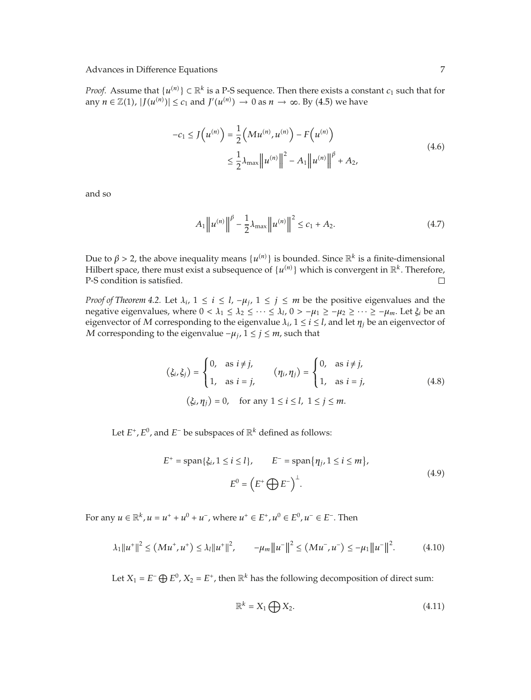*Proof.* Assume that  $\{u^{(n)}\} \subset \mathbb{R}^k$  is a P-S sequence. Then there exists a constant  $c_1$  such that for  $\text{PGL}(n) \to \text{GL}(n)$ any  $n \in \mathbb{Z}(1)$ ,  $|J(u^{(n)})| \leq c_1$  and  $J'(u^{(n)}) \to 0$  as  $n \to \infty$ . By (4.5) we have

$$
-c_1 \le J\left(u^{(n)}\right) = \frac{1}{2} \left(Mu^{(n)}, u^{(n)}\right) - F\left(u^{(n)}\right)
$$
  

$$
\le \frac{1}{2} \lambda_{\max} \left\|u^{(n)}\right\|^2 - A_1 \left\|u^{(n)}\right\|^{\beta} + A_2,
$$
 (4.6)

and so

$$
A_1 \|u^{(n)}\|^{ \beta} - \frac{1}{2} \lambda_{\max} \|u^{(n)}\|^{2} \le c_1 + A_2.
$$
 (4.7)

Due to  $\beta > 2$ , the above inequality means  $\{u^{(n)}\}$  is bounded. Since  $\mathbb{R}^k$  is a finite-dimensional Hilbert space, there must exist a subsequence of  $\{u^{(n)}\}$  which is convergent in  $\mathbb{R}^k$ . Therefore Hilbert space, there must exist a subsequence of  $\{u^{(n)}\}$  which is convergent in  $\mathbb{R}^k$ . Therefore,  $\Box$ P-S condition is satisfied.

*Proof of Theorem 4.2.* Let  $\lambda_i$ ,  $1 \le i \le l$ ,  $-\mu_j$ ,  $1 \le j \le m$  be the positive eigenvalues and the negative eigenvalues, where  $0 < \lambda_1 \leq \lambda_2 \leq \cdots \leq \lambda_l$ ,  $0 > -\mu_1 \geq -\mu_2 \geq \cdots \geq -\mu_m$ . Let  $\xi_i$  be an eigenvector of *M* corresponding to the eigenvalue  $\lambda_i$ ,  $1 \le i \le l$ , and let  $\eta_i$  be an eigenvector of *M* corresponding to the eigenvalue  $−\mu_j$ , 1 ≤ *j* ≤ *m*, such that

$$
(\xi_i, \xi_j) = \begin{cases} 0, & \text{as } i \neq j, \\ 1, & \text{as } i = j, \end{cases} \quad (\eta_i, \eta_j) = \begin{cases} 0, & \text{as } i \neq j, \\ 1, & \text{as } i = j, \end{cases} \quad (4.8)
$$
  

$$
(\xi_i, \eta_j) = 0, \quad \text{for any } 1 \leq i \leq l, 1 \leq j \leq m.
$$

Let *E, E*0*,* and *<sup>E</sup>*<sup>−</sup> be subspaces of <sup>R</sup>*<sup>k</sup>* defined as follows:

$$
E^{+} = \text{span}\{\xi_{i}, 1 \le i \le l\}, \qquad E^{-} = \text{span}\{\eta_{j}, 1 \le i \le m\},
$$
  

$$
E^{0} = \left(E^{+}\bigoplus E^{-}\right)^{\perp}.
$$
 (4.9)

For any  $u \in \mathbb{R}^k$ ,  $u = u^+ + u^0 + u^-$ , where  $u^+ \in E^+$ ,  $u^0 \in E^0$ ,  $u^- \in E^-$ . Then

$$
\lambda_1 \|u^+\|^2 \le (Mu^+, u^+) \le \lambda_l \|u^+\|^2, \qquad -\mu_m \|u^-\|^2 \le (Mu^-, u^-) \le -\mu_1 \|u^-\|^2. \tag{4.10}
$$

Let *X*<sub>1</sub> =  $E^- \bigoplus E^0$ , *X*<sub>2</sub> =  $E^+$ , then  $\mathbb{R}^k$  has the following decomposition of direct sum:

$$
\mathbb{R}^k = X_1 \bigoplus X_2. \tag{4.11}
$$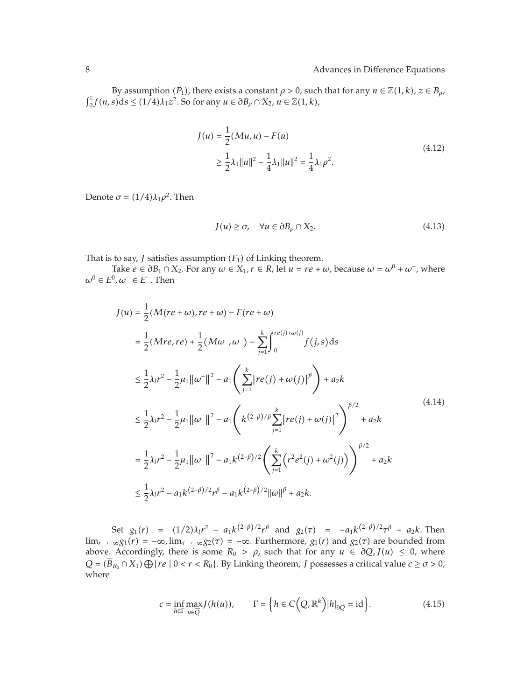By assumption *(P*<sub>1</sub>), there exists a constant  $\rho > 0$ , such that for any  $n \in \mathbb{Z}(1, k)$ ,  $z \in B_\rho$ ,  $\int_0^z f(n, s) ds$  ≤ (1/4) $\lambda_1 z^2$ . So for any  $u \in \partial B_\rho \cap X_2$ ,  $n \in \mathbb{Z}(1, k)$ ,

$$
J(u) = \frac{1}{2} (Mu, u) - F(u)
$$
  
\n
$$
\geq \frac{1}{2} \lambda_1 ||u||^2 - \frac{1}{4} \lambda_1 ||u||^2 = \frac{1}{4} \lambda_1 \rho^2.
$$
\n(4.12)

Denote  $\sigma = (1/4)\lambda_1\rho^2$ . Then

$$
J(u) \ge \sigma, \quad \forall u \in \partial B_{\rho} \cap X_2. \tag{4.13}
$$

That is to say, *J* satisfies assumption  $(F_1)$  of Linking theorem.

Take  $e \in \partial B_1 \cap X_2$ . For any  $\omega \in X_1$ ,  $r \in R$ , let  $u = re + \omega$ , because  $\omega = \omega^0 + \omega^-$ , where  $ω<sup>0</sup> ∈ E<sup>0</sup>, ω<sup>−</sup> ∈ E<sup>−</sup>. Then$ 

$$
J(u) = \frac{1}{2} (M(re+w), re+w) - F(re+w)
$$
  
\n
$$
= \frac{1}{2} (Mre, re) + \frac{1}{2} (Mw^-, w^-) - \sum_{j=1}^k \int_0^{re(j)+w(j)} f(j, s) ds
$$
  
\n
$$
\leq \frac{1}{2} \lambda_l r^2 - \frac{1}{2} \mu_1 ||w^-||^2 - a_1 \left( \sum_{j=1}^k |re(j) + w(j)|^\beta \right) + a_2 k
$$
  
\n
$$
\leq \frac{1}{2} \lambda_l r^2 - \frac{1}{2} \mu_1 ||w^-||^2 - a_1 \left( k^{(2-\beta)/\beta} \sum_{j=1}^k |re(j) + w(j)|^2 \right)^{\beta/2} + a_2 k
$$
  
\n
$$
= \frac{1}{2} \lambda_l r^2 - \frac{1}{2} \mu_1 ||w^-||^2 - a_1 k^{(2-\beta)/2} \left( \sum_{j=1}^k (r^2 e^2(j) + w^2(j)) \right)^{\beta/2} + a_2 k
$$
  
\n
$$
\leq \frac{1}{2} \lambda_l r^2 - a_1 k^{(2-\beta)/2} r^\beta - a_1 k^{(2-\beta)/2} ||w||^\beta + a_2 k.
$$
 (4.14)

Set  $g_1(r) = (1/2)\lambda_1 r^2 - a_1 k^{(2-\beta)/2} r^{\beta}$  and  $g_2(r) = -a_1 k^{(2-\beta)/2} r^{\beta} + a_2 k$ . Then<br>  $g_1(r) = -\infty$  lim lim<sub>*r*→+∞</sub> $g_1(r) = -\infty$ , lim<sub>*τ*→+∞</sub> $g_2(r) = -\infty$ . Furthermore,  $g_1(r)$  and  $g_2(r)$  are bounded from above. Accordingly, there is some  $R_0 > \rho$ , such that for any  $u \in \partial Q$ ,  $J(u) \leq 0$ , where  $Q = (B_{R_0} \cap X_1) \bigoplus \{ re \mid 0 < r < R_0 \}.$  By Linking theorem, *J* possesses a critical value  $c \ge \sigma > 0$ , where

$$
c = \inf_{h \in \Gamma} \max_{u \in \overline{Q}} J(h(u)), \qquad \Gamma = \left\{ h \in C\left(\overline{Q}, \mathbb{R}^k\right) |h|_{\partial \overline{Q}} = \text{id} \right\}. \tag{4.15}
$$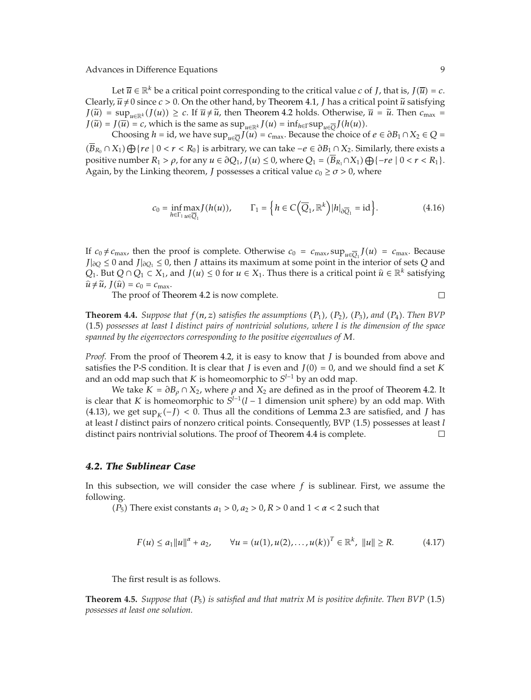Let  $\overline{u} \in \mathbb{R}^k$  be a critical point corresponding to the critical value *c* of *J*, that is,  $J(\overline{u}) = c$ . Clearly,  $\bar{u} \neq 0$  since  $c > 0$ . On the other hand, by Theorem 4.1, *J* has a critical point  $\tilde{u}$  satisfying *J*( $\tilde{u}$ ) = sup<sub>*u*∈R</sub>*k*  $J(u)$ ) ≥ *c*. If  $\overline{u} \neq \tilde{u}$ , then Theorem 4.2 holds. Otherwise,  $\overline{u} = \tilde{u}$ . Then  $c_{\text{max}} =$  $J(\tilde{u}) = J(\overline{u}) = c$ , which is the same as sup<sub>*u*∈ℝ</sub>*k*  $J(u) = \inf_{h \in \Gamma} \sup_{u \in \overline{Q}} J(h(u))$ .

Choosing *h* = id, we have  $\sup_{u \in \overline{O}} J(u) = c_{\max}$ . Because the choice of  $e \in \partial B_1 \cap X_2 \in Q$  =  $(B_{R_0} \cap X_1) \bigoplus \{ re \mid 0 < r < R_0 \}$  is arbitrary, we can take  $-e \in \partial B_1 \cap X_2$ . Similarly, there exists a positive number  $B \geq e$  for any  $\mu \in \partial \Omega$ ,  $I(\mu) \leq 0$  yields  $Q = (\overline{B} - \partial X) \cap (e, \mu \geq 0) \leq \mu \leq B$ . positive number  $R_1 > \rho$ , for any  $u \in \partial Q_1$ ,  $J(u) \le 0$ , where  $Q_1 = (B_{R_1} \cap X_1) \bigoplus \{-re \mid 0 < r < R_1\}$ . Again, by the Linking theorem, *J* possesses a critical value  $c_0 \ge \sigma > 0$ , where

$$
c_0 = \inf_{h \in \Gamma_1} \max_{u \in \overline{Q}_1} J(h(u)), \qquad \Gamma_1 = \left\{ h \in C\left(\overline{Q}_1, \mathbb{R}^k\right) |h|_{\partial \overline{Q}_1} = \mathrm{id} \right\}. \tag{4.16}
$$

If  $c_0 \neq c_{\text{max}}$ , then the proof is complete. Otherwise  $c_0 = c_{\text{max}}$ ,  $\sup_{u \in \overline{Q}_1} J(u) = c_{\text{max}}$ . Because  $I|_{\text{loc}} \leq 0$  and  $I|_{\text{loc}} \leq 0$  then Lattains its maximum at some point in the interior of sets Q and *<sup>J</sup>*|*∂Q* <sup>≤</sup> 0 and *<sup>J</sup>*|*∂Q*<sup>1</sup> <sup>≤</sup> 0, then *<sup>J</sup>* attains its maximum at some point in the interior of sets *<sup>Q</sup>* and *Q*<sub>1</sub>. But *Q* ∩ *Q*<sub>1</sub> ⊂ *X*<sub>1</sub>, and *J*(*u*) ≤ 0 for *u* ∈ *X*<sub>1</sub>. Thus there is a critical point  $\hat{u} \in \mathbb{R}^k$  satisfying  $\hat{u} \neq \tilde{u}$ ,  $J(\hat{u}) = c_0 = c_{\text{max}}$ .

The proof of Theorem 4.2 is now complete.

**Theorem 4.4.** *Suppose that*  $f(n, z)$  *satisfies the assumptions*  $(P_1)$ *,*  $(P_2)$ *,*  $(P_3)$ *, and*  $(P_4)$ *. Then BVP* 1.5 *possesses at least l distinct pairs of nontrivial solutions, where l is the dimension of the space spanned by the eigenvectors corresponding to the positive eigenvalues of M.*

*Proof.* From the proof of Theorem 4.2, it is easy to know that *J* is bounded from above and satisfies the P-S condition. It is clear that *J* is even and  $J(0) = 0$ , and we should find a set *K* and an odd map such that *K* is homeomorphic to  $S^{l-1}$  by an odd map.

We take  $K = \partial B_\rho \cap X_2$ , where  $\rho$  and  $X_2$  are defined as in the proof of Theorem 4.2. It is clear that *K* is homeomorphic to  $S^{l-1}(l-1)$  dimension unit sphere) by an odd map. With (4.13), we get  $\sup_K(-J) < 0$ . Thus all the conditions of Lemma 2.3 are satisfied, and *J* has at least *J* distinct pairs of pop gape oritical points. Consequently, BVP (1.5) possesses at least *J* at least *l* distinct pairs of nonzero critical points. Consequently, BVP (1.5) possesses at least *l* distinct pairs nontrivial solutions. The proof of Theorem 4.4 is complete. distinct pairs nontrivial solutions. The proof of Theorem 4.4 is complete.

#### *4.2. The Sublinear Case*

In this subsection, we will consider the case where *f* is sublinear. First, we assume the following.

*P*<sub>5</sub>) There exist constants  $a_1 > 0$ ,  $a_2 > 0$ ,  $R > 0$  and  $1 < \alpha < 2$  such that

$$
F(u) \le a_1 \|u\|^{\alpha} + a_2, \qquad \forall u = (u(1), u(2), \dots, u(k))^T \in \mathbb{R}^k, \|u\| \ge R. \tag{4.17}
$$

The first result is as follows.

**Theorem 4.5.** *Suppose that*  $(P_5)$  *is satisfied and that matrix M is positive definite. Then BVP* (1.5) *possesses at least one solution.*

 $\Box$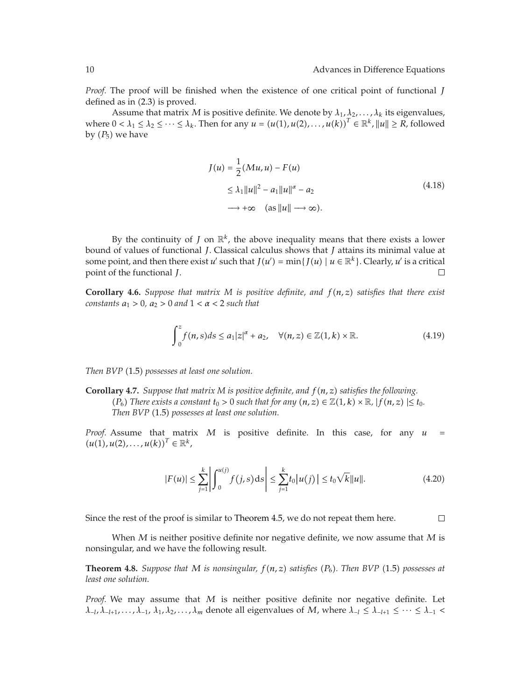*Proof.* The proof will be finished when the existence of one critical point of functional *J* defined as in  $(2.3)$  is proved.

Assume that matrix *M* is positive definite. We denote by  $\lambda_1, \lambda_2, \ldots, \lambda_k$  its eigenvalues, where  $0 < \lambda_1 \leq \lambda_2 \leq \cdots \leq \lambda_k$ . Then for any  $u = (u(1), u(2), \ldots, u(k))^T \in \mathbb{R}^k$ ,  $||u|| \geq R$ , followed by  $(P_5)$  we have

$$
J(u) = \frac{1}{2} (Mu, u) - F(u)
$$
  
\n
$$
\leq \lambda_1 ||u||^2 - a_1 ||u||^{\alpha} - a_2
$$
  
\n
$$
\longrightarrow +\infty \quad (as ||u|| \longrightarrow \infty).
$$
\n(4.18)

By the continuity of *J* on  $\mathbb{R}^k$ , the above inequality means that there exists a lower bound of values of functional *J*. Classical calculus shows that *J* attains its minimal value at some point, and then there exist *u'* such that  $J(u') = \min\{J(u) \mid u \in \mathbb{R}^k\}$ . Clearly, *u'* is a critical point of the functional *I* point of the functional *J*.

**Corollary 4.6.** *Suppose that matrix M is positive definite, and fn, z satisfies that there exist constants*  $a_1 > 0$ ,  $a_2 > 0$  *and*  $1 < \alpha < 2$  *such that* 

$$
\int_0^z f(n,s)ds \le a_1|z|^{\alpha} + a_2, \quad \forall (n,z) \in \mathbb{Z}(1,k) \times \mathbb{R}.
$$
 (4.19)

*Then BVP* (1.5) *possesses at least one solution.* 

**Corollary 4.7.** *Suppose that matrix M is positive definite, and fn, z satisfies the following. (P<sub>6</sub>) There exists a constant*  $t_0 > 0$  *such that for any*  $(n, z) \in \mathbb{Z}(1, k) \times \mathbb{R}$ ,  $|f(n, z)| \le t_0$ . *Then BVP* (1.5) possesses at least one solution.

*Proof.* Assume that matrix *M* is positive definite. In this case, for any *u*  $(u(1), u(2), \ldots, u(k))^{T} \in \mathbb{R}^{k},$ 

$$
|F(u)| \le \sum_{j=1}^{k} \left| \int_{0}^{u(j)} f(j,s) \, ds \right| \le \sum_{j=1}^{k} t_0 |u(j)| \le t_0 \sqrt{k} \|u\|.
$$

Since the rest of the proof is similar to Theorem 4.5, we do not repeat them here.

 $\Box$ 

When *M* is neither positive definite nor negative definite, we now assume that *M* is nonsingular, and we have the following result.

**Theorem 4.8.** *Suppose that M is nonsingular, fn, z satisfies P*<sup>6</sup>*. Then BVP* 1.5 *possesses at least one solution.*

*Proof.* We may assume that *M* is neither positive definite nor negative definite. Let  $\lambda$ −*l*,  $\lambda$ −*l*<sub>+1</sub>,..., $\lambda$ <sub>−1</sub>,  $\lambda$ <sub>1</sub>,  $\lambda$ <sub>2</sub>,..., $\lambda$ <sub>*m*</sub> denote all eigenvalues of *M*, where  $\lambda$ <sup>−1</sup> ≤  $\lambda$ <sup>−1</sup>  $\lambda$ <sup>−1</sup> ≤ ··· ≤  $\lambda$ <sup>−1</sup> <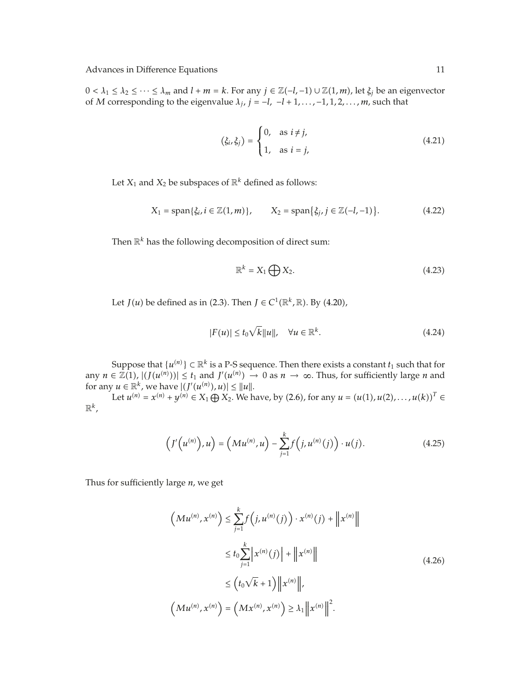$0 < \lambda_1$  ≤  $\lambda_2$  ≤ ··· ≤  $\lambda_m$  and  $l + m = k$ . For any  $j \in \mathbb{Z}(-l, -1) \cup \mathbb{Z}(1, m)$ , let  $\xi_j$  be an eigenvector of *M* corresponding to the eigenvalue  $\lambda_i$ ,  $j = -l$ ,  $-l + 1, \ldots, -1, 1, 2, \ldots, m$ , such that

$$
(\xi_i, \xi_j) = \begin{cases} 0, & \text{as } i \neq j, \\ 1, & \text{as } i = j, \end{cases}
$$
 (4.21)

Let  $X_1$  and  $X_2$  be subspaces of  $\mathbb{R}^k$  defined as follows:

$$
X_1 = \text{span}\{\xi_i, i \in \mathbb{Z}(1,m)\}, \qquad X_2 = \text{span}\{\xi_j, j \in \mathbb{Z}(-l, -1)\}.
$$
 (4.22)

Then  $\mathbb{R}^k$  has the following decomposition of direct sum:

$$
\mathbb{R}^k = X_1 \bigoplus X_2. \tag{4.23}
$$

Let *J*(*u*) be defined as in (2.3). Then *J* ∈  $C^1(\mathbb{R}^k, \mathbb{R})$ . By (4.20),

$$
|F(u)| \le t_0 \sqrt{k} \|u\|, \quad \forall u \in \mathbb{R}^k.
$$
 (4.24)

Suppose that  $\{u^{(n)}\} \subset \mathbb{R}^k$  is a P-S sequence. Then there exists a constant  $t_1$  such that for  $\subset \mathbb{Z}(1)$ ,  $\cup \{t(u^{(n)})\} \subset t_1$  and  $I'(u^{(n)})$ ,  $\cup$  0.35  $t_1$ ,  $\cup$  0.35  $t_2$  and  $\cup$  for sufficiently large *u* any  $n \in \mathbb{Z}(1)$ ,  $|f(u^{(n)}))| \le t_1$  and  $f'(u^{(n)}) \to 0$  as  $n \to \infty$ . Thus, for sufficiently large *n* and for any  $u \in \mathbb{R}^k$ , we have  $|f'(u^{(n)})| \le ||u||$ for any  $u \in \mathbb{R}^k$ , we have  $| (J'(u^{(n)}), u) | \le ||u||$ .<br> *L* of  $u^{(n)} = x^{(n)} + u^{(n)} \in Y$ ,  $\bigoplus X_2$ . We h

Let  $u^{(n)} = x^{(n)} + y^{(n)} \in X_1 \oplus X_2$ . We have, by (2.6), for any  $u = (u(1), u(2), \ldots, u(k))^T \in$  $\mathbb{R}^k$ ,

$$
(J'(u^{(n)}), u) = (Mu^{(n)}, u) - \sum_{j=1}^{k} f(j, u^{(n)}(j)) \cdot u(j).
$$
 (4.25)

Thus for sufficiently large *n*, we get

$$
\left(Mu^{(n)}, x^{(n)}\right) \le \sum_{j=1}^{k} f\left(j, u^{(n)}(j)\right) \cdot x^{(n)}(j) + \left\|x^{(n)}\right\|
$$
  

$$
\le t_0 \sum_{j=1}^{k} \left|x^{(n)}(j)\right| + \left\|x^{(n)}\right\|
$$
  

$$
\le \left(t_0\sqrt{k} + 1\right) \left\|x^{(n)}\right\|,
$$
  

$$
\left(Mu^{(n)}, x^{(n)}\right) = \left(Mx^{(n)}, x^{(n)}\right) \ge \lambda_1 \left\|x^{(n)}\right\|^2.
$$
 (4.26)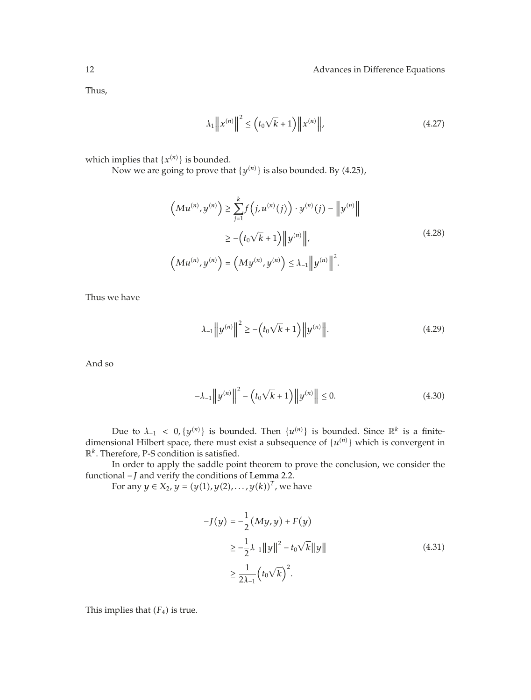Thus,

$$
\lambda_1 \|x^{(n)}\|^2 \le \left(t_0 \sqrt{k} + 1\right) \|x^{(n)}\|,\tag{4.27}
$$

which implies that  $\{x^{(n)}\}$  is bounded.

Now we are going to prove that  $\{y^{(n)}\}$  is also bounded. By (4.25),

$$
\left(Mu^{(n)}, y^{(n)}\right) \ge \sum_{j=1}^{k} f\left(j, u^{(n)}(j)\right) \cdot y^{(n)}(j) - \left\|y^{(n)}\right\|
$$
  

$$
\ge -\left(t_0\sqrt{k} + 1\right) \left\|y^{(n)}\right\|,
$$
  

$$
\left(Mu^{(n)}, y^{(n)}\right) = \left(My^{(n)}, y^{(n)}\right) \le \lambda_{-1} \left\|y^{(n)}\right\|^2.
$$
 (4.28)

Thus we have

$$
\lambda_{-1} \|y^{(n)}\|^2 \ge -\left(t_0\sqrt{k} + 1\right) \|y^{(n)}\|.
$$
 (4.29)

And so

$$
-\lambda_{-1} \|y^{(n)}\|^2 - (t_0\sqrt{k} + 1) \|y^{(n)}\| \le 0.
$$
 (4.30)

Due to  $\lambda_{-1} < 0$ ,  $\{y^{(n)}\}$  is bounded. Then  $\{u^{(n)}\}$  is bounded. Since  $\mathbb{R}^k$  is a finite-<br>bional Hilbert space, there must exist a subsequence of  $\{u^{(n)}\}$  which is convergent in dimensional Hilbert space, there must exist a subsequence of  $\{u^{(n)}\}$  which is convergent in  $\mathbb{R}^k$ . Therefore, P-S condition is satisfied R*k*. Therefore, P-S condition is satisfied.

In order to apply the saddle point theorem to prove the conclusion, we consider the functional −*J* and verify the conditions of Lemma 2.2.<br>For any  $u \in X_2$ ,  $u = (u(1), u(2), \dots, u(k))^T$ , wo

For any  $y \in X_2$ ,  $y = (y(1), y(2), \ldots, y(k))^T$ , we have

$$
-J(y) = -\frac{1}{2}(My, y) + F(y)
$$
  
\n
$$
\geq -\frac{1}{2}\lambda_{-1}||y||^2 - t_0\sqrt{k}||y||
$$
  
\n
$$
\geq \frac{1}{2\lambda_{-1}}(t_0\sqrt{k})^2.
$$
\n(4.31)

This implies that  $(F_4)$  is true.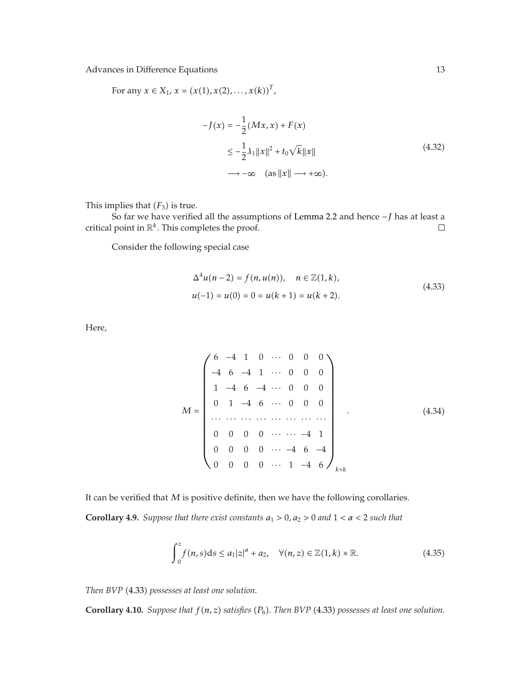For any  $x \in X_1$ ,  $x = (x(1), x(2), \ldots, x(k))^T$ ,

$$
-J(x) = -\frac{1}{2}(Mx, x) + F(x)
$$
  
\n
$$
\leq -\frac{1}{2}\lambda_1 ||x||^2 + t_0\sqrt{k}||x||
$$
  
\n
$$
\longrightarrow -\infty \quad (as ||x|| \longrightarrow +\infty).
$$
\n(4.32)

This implies that  $(F_3)$  is true.

So far we have verified all the assumptions of Lemma 2.2 and hence *− J* has at least a l point in  $\mathbb{R}^k$ . This completes the proof. critical point in  $\mathbb{R}^k$ . This completes the proof.

Consider the following special case

$$
\Delta^{4}u(n-2) = f(n, u(n)), \quad n \in \mathbb{Z}(1, k),
$$
  

$$
u(-1) = u(0) = 0 = u(k+1) = u(k+2).
$$
 (4.33)

Here,

*M* ⎛ ⎜⎜⎜⎜⎜⎜⎜⎜⎜⎜⎜⎜⎜⎜⎜⎜⎜⎝ 6 −41 0 ··· 000 −4 6 −4 1 ··· 000 1 −4 6 −4 ··· 000 0 1 −4 6 ··· 000 ··· ··· ··· ··· ··· ··· ··· ··· 0000 ··· ··· −4 1 0000 ··· −4 6 −4 0000 ··· 1 −4 6 ⎞ ⎟⎟⎟⎟⎟⎟⎟⎟⎟⎟⎟⎟⎟⎟⎟⎟⎟⎠ *k*×*k .* 4.34

It can be verified that *M* is positive definite, then we have the following corollaries.

**Corollary 4.9.** *Suppose that there exist constants*  $a_1 > 0$ ,  $a_2 > 0$  and  $1 < \alpha < 2$  *such that* 

$$
\int_0^z f(n,s)ds \le a_1|z|^{\alpha} + a_2, \quad \forall (n,z) \in \mathbb{Z}(1,k) \times \mathbb{R}.
$$
 (4.35)

*Then BVP* 4.33 *possesses at least one solution.*

**Corollary 4.10.** *Suppose that <sup>f</sup>n, z satisfies P*<sup>6</sup>*. Then BVP* 4.33 *possesses at least one solution.*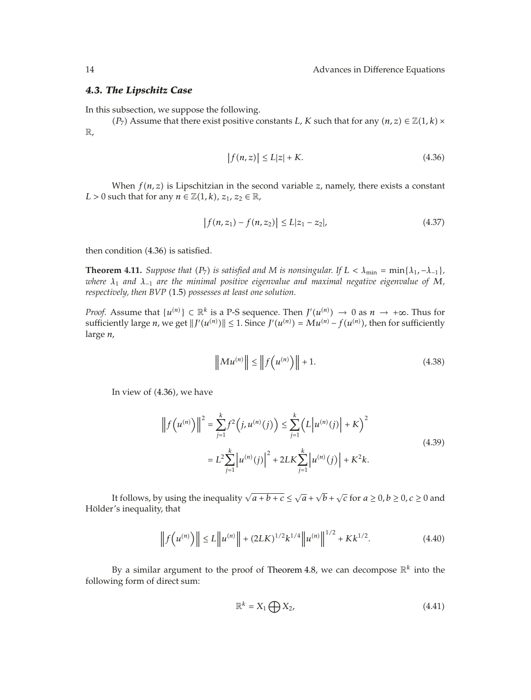#### *4.3. The Lipschitz Case*

In this subsection, we suppose the following.

*(P<sub>7</sub>)* Assume that there exist positive constants *L*, *K* such that for any  $(n, z) \in \mathbb{Z}(1, k) \times$ R,

$$
|f(n,z)| \le L|z| + K. \tag{4.36}
$$

When  $f(n, z)$  is Lipschitzian in the second variable  $z$ , namely, there exists a constant *L* > 0 such that for any  $n \in \mathbb{Z}(1, k)$ ,  $z_1, z_2 \in \mathbb{R}$ ,

$$
|f(n, z_1) - f(n, z_2)| \le L|z_1 - z_2|,\tag{4.37}
$$

then condition (4.36) is satisfied.

**Theorem 4.11.** *Suppose that*  $(P_7)$  *is satisfied and M is nonsingular. If*  $L < \lambda_{\min} = \min\{\lambda_1, -\lambda_{-1}\}$ *, where <sup>λ</sup>*<sup>1</sup> *and <sup>λ</sup>*<sup>−</sup><sup>1</sup> *are the minimal positive eigenvalue and maximal negative eigenvalue of <sup>M</sup>, respectively, then BVP* (1.5) *possesses at least one solution.* 

*Proof.* Assume that  $\{u^{(n)}\} \subset \mathbb{R}^k$  is a P-S sequence. Then  $J'(u^{(n)}) \to 0$  as  $n \to +\infty$ . Thus for entirely large *n* we get  $\|J'(u^{(n)})\| \leq 1$  Since  $J'(u^{(n)}) - M(u^{(n)})$ , then for sufficiently sufficiently large *n*, we get  $||J'(u^{(n)})|| \le 1$ . Since  $J'(u^{(n)}) = Mu^{(n)} - f(u^{(n)})$ , then for sufficiently large *n*,

$$
\|Mu^{(n)}\| \le \|f(u^{(n)})\| + 1.
$$
 (4.38)

In view of  $(4.36)$ , we have

$$
\left\|f(u^{(n)})\right\|^2 = \sum_{j=1}^k f^2\left(j, u^{(n)}(j)\right) \le \sum_{j=1}^k \left(L\left|u^{(n)}(j)\right| + K\right)^2
$$
  

$$
= L^2 \sum_{j=1}^k \left|u^{(n)}(j)\right|^2 + 2LK \sum_{j=1}^k \left|u^{(n)}(j)\right| + K^2 k.
$$
 (4.39)

It follows, by using the inequality  $\sqrt{a+b+c} \le \sqrt{a} + \sqrt{b} + \sqrt{c}$  for  $a \ge 0, b \ge 0, c \ge 0$  and  $a'$  is inequality that Hölder's inequality, that

$$
\left\| f\left(u^{(n)}\right) \right\| \le L \left\| u^{(n)} \right\| + (2LK)^{1/2} k^{1/4} \left\| u^{(n)} \right\|^{1/2} + K k^{1/2}.
$$
 (4.40)

By a similar argument to the proof of Theorem 4.8, we can decompose R*<sup>k</sup>* into the following form of direct sum:

$$
\mathbb{R}^k = X_1 \bigoplus X_2,\tag{4.41}
$$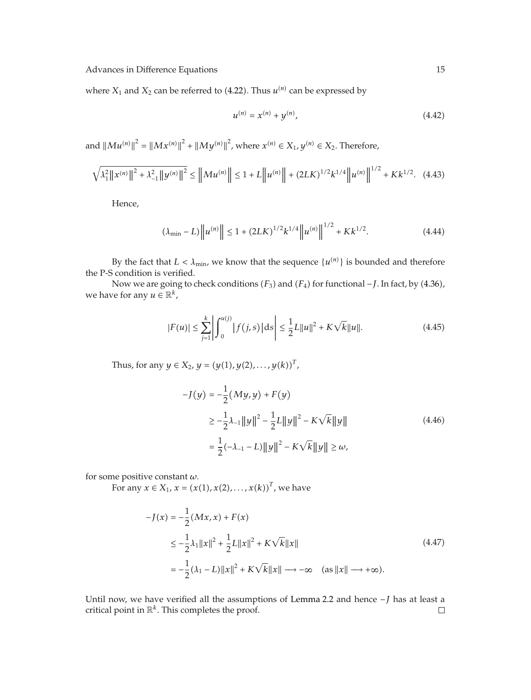where  $X_1$  and  $X_2$  can be referred to (4.22). Thus  $u^{(n)}$  can be expressed by

$$
u^{(n)} = x^{(n)} + y^{(n)}, \tag{4.42}
$$

and  $||Mu^{(n)}||^2 = ||Mx^{(n)}||^2 + ||My^{(n)}||^2$ , where  $x^{(n)} \in X_1$ ,  $y^{(n)} \in X_2$ . Therefore,

$$
\sqrt{\lambda_1^2 \|x^{(n)}\|^2 + \lambda_{-1}^2 \|y^{(n)}\|^2} \le \|Mu^{(n)}\| \le 1 + L \|u^{(n)}\| + (2LK)^{1/2} k^{1/4} \|u^{(n)}\|^{1/2} + K k^{1/2}.
$$
 (4.43)

Hence,

$$
(\lambda_{\min} - L) \|u^{(n)}\| \le 1 + (2LK)^{1/2} k^{1/4} \|u^{(n)}\|^{1/2} + Kk^{1/2}.
$$
 (4.44)

By the fact that  $L < \lambda_{\min}$ , we know that the sequence  $\{u^{(n)}\}$  is bounded and therefore the P-S condition is verified.

Now we are going to check conditions  $(F_3)$  and  $(F_4)$  for functional −*J*. In fact, by (4.36), we have for any  $u \in \mathbb{R}^k$ ,

$$
|F(u)| \le \sum_{j=1}^{k} \left| \int_{0}^{u(j)} |f(j,s)| \, ds \right| \le \frac{1}{2} L \|u\|^2 + K\sqrt{k} \|u\|.
$$
 (4.45)

Thus, for any  $y \in X_2$ ,  $y = (y(1), y(2), \ldots, y(k))^T$ ,

$$
-J(y) = -\frac{1}{2}(My, y) + F(y)
$$
  
\n
$$
\ge -\frac{1}{2}\lambda_{-1}||y||^2 - \frac{1}{2}L||y||^2 - K\sqrt{k}||y||
$$
  
\n
$$
= \frac{1}{2}(-\lambda_{-1} - L)||y||^2 - K\sqrt{k}||y|| \ge \omega,
$$
\n(4.46)

for some positive constant *ω*.

For any  $x \in X_1$ ,  $x = (x(1), x(2), \ldots, x(k))^T$ , we have

$$
-J(x) = -\frac{1}{2}(Mx, x) + F(x)
$$
  
\n
$$
\leq -\frac{1}{2}\lambda_1 ||x||^2 + \frac{1}{2}L||x||^2 + K\sqrt{k}||x||
$$
  
\n
$$
= -\frac{1}{2}(\lambda_1 - L)||x||^2 + K\sqrt{k}||x|| \longrightarrow -\infty \quad (as ||x|| \longrightarrow +\infty).
$$
\n(4.47)

Until now, we have verified all the assumptions of Lemma 2.2 and hence  $-J$  has at least a critical point in  $\mathbb{R}^k$ . This completes the proof.  $\Box$ critical point in  $\mathbb{R}^k$ . This completes the proof.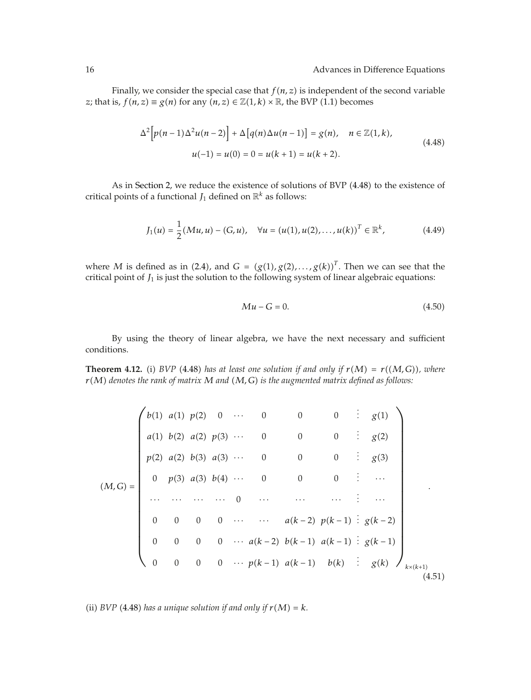Finally, we consider the special case that  $f(n, z)$  is independent of the second variable *z*; that is,  $f(n, z) \equiv g(n)$  for any  $(n, z) \in \mathbb{Z}(1, k) \times \mathbb{R}$ , the BVP (1.1) becomes

$$
\Delta^{2}\Big[p(n-1)\Delta^{2}u(n-2)\Big] + \Delta\big[q(n)\Delta u(n-1)\big] = g(n), \quad n \in \mathbb{Z}(1,k),
$$
  

$$
u(-1) = u(0) = 0 = u(k+1) = u(k+2).
$$
 (4.48)

As in Section 2, we reduce the existence of solutions of BVP (4.48) to the existence of critical points of a functional  $J_1$  defined on  $\mathbb{R}^k$  as follows:

$$
J_1(u) = \frac{1}{2} (Mu, u) - (G, u), \quad \forall u = (u(1), u(2), \dots, u(k))^T \in \mathbb{R}^k,
$$
 (4.49)

where *M* is defined as in (2.4), and  $G = (g(1), g(2), \ldots, g(k))$ <sup>T</sup>. Then we can see that the critical point of  $J_1$  is just the solution to the following system of linear algebraic equations:

$$
Mu - G = 0.\t\t(4.50)
$$

By using the theory of linear algebra, we have the next necessary and sufficient conditions.

**Theorem 4.12.** (i) BVP (4.48) has at least one solution if and only if  $r(M) = r((M, G))$ , where *rM denotes the rank of matrix M and M, G is the augmented matrix defined as follows:*

$$
(M, G) = \begin{pmatrix} b(1) & a(1) & p(2) & 0 & \cdots & 0 & 0 & 0 & \vdots & g(1) \\ a(1) & b(2) & a(2) & p(3) & \cdots & 0 & 0 & 0 & \vdots & g(2) \\ p(2) & a(2) & b(3) & a(3) & \cdots & 0 & 0 & 0 & \vdots & g(3) \\ 0 & p(3) & a(3) & b(4) & \cdots & 0 & 0 & 0 & \vdots & \cdots \\ \vdots & \vdots & \vdots & \vdots & \vdots & \vdots & \vdots & \vdots & \vdots & \vdots \\ 0 & 0 & 0 & 0 & \cdots & m(k-2) & p(k-1) & \vdots & g(k-2) \\ 0 & 0 & 0 & 0 & \cdots & a(k-2) & b(k-1) & a(k-1) & \vdots & g(k) \end{pmatrix}_{k \times (k+1)}.
$$

(ii) *BVP* (4.48) has a unique solution if and only if  $r(M) = k$ .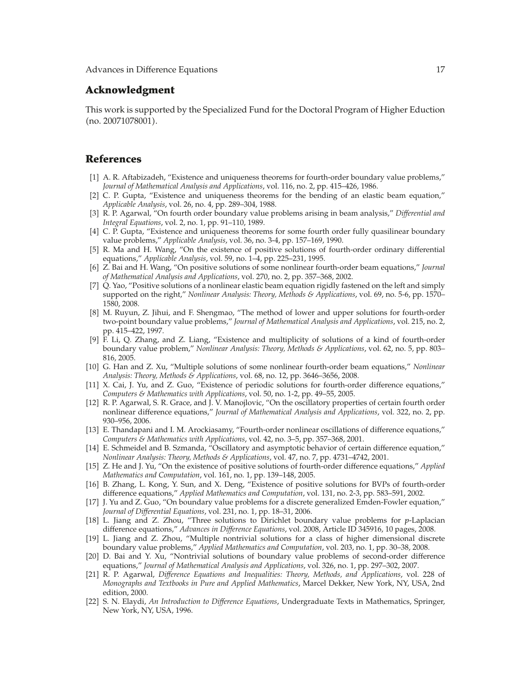#### **Acknowledgment**

This work is supported by the Specialized Fund for the Doctoral Program of Higher Eduction no. 20071078001.

#### **References**

- 1 A. R. Aftabizadeh, "Existence and uniqueness theorems for fourth-order boundary value problems," *Journal of Mathematical Analysis and Applications*, vol. 116, no. 2, pp. 415–426, 1986.
- [2] C. P. Gupta, "Existence and uniqueness theorems for the bending of an elastic beam equation," *Applicable Analysis*, vol. 26, no. 4, pp. 289–304, 1988.
- 3 R. P. Agarwal, "On fourth order boundary value problems arising in beam analysis," *Differential and Integral Equations*, vol. 2, no. 1, pp. 91–110, 1989.
- 4 C. P. Gupta, "Existence and uniqueness theorems for some fourth order fully quasilinear boundary value problems," *Applicable Analysis*, vol. 36, no. 3-4, pp. 157–169, 1990.
- 5 R. Ma and H. Wang, "On the existence of positive solutions of fourth-order ordinary differential equations," *Applicable Analysis*, vol. 59, no. 1–4, pp. 225–231, 1995.
- 6 Z. Bai and H. Wang, "On positive solutions of some nonlinear fourth-order beam equations," *Journal of Mathematical Analysis and Applications*, vol. 270, no. 2, pp. 357–368, 2002.
- 7 Q. Yao, "Positive solutions of a nonlinear elastic beam equation rigidly fastened on the left and simply supported on the right," *Nonlinear Analysis: Theory, Methods & Applications*, vol. 69, no. 5-6, pp. 1570– 1580, 2008.
- 8 M. Ruyun, Z. Jihui, and F. Shengmao, "The method of lower and upper solutions for fourth-order two-point boundary value problems," *Journal of Mathematical Analysis and Applications*, vol. 215, no. 2, pp. 415–422, 1997.
- 9 F. Li, Q. Zhang, and Z. Liang, "Existence and multiplicity of solutions of a kind of fourth-order boundary value problem," *Nonlinear Analysis: Theory, Methods & Applications*, vol. 62, no. 5, pp. 803– 816, 2005.
- 10 G. Han and Z. Xu, "Multiple solutions of some nonlinear fourth-order beam equations," *Nonlinear Analysis: Theory, Methods & Applications*, vol. 68, no. 12, pp. 3646–3656, 2008.
- 11 X. Cai, J. Yu, and Z. Guo, "Existence of periodic solutions for fourth-order difference equations," *Computers & Mathematics with Applications*, vol. 50, no. 1-2, pp. 49–55, 2005.
- 12 R. P. Agarwal, S. R. Grace, and J. V. Manojlovic, "On the oscillatory properties of certain fourth order nonlinear difference equations," *Journal of Mathematical Analysis and Applications*, vol. 322, no. 2, pp. 930–956, 2006.
- 13 E. Thandapani and I. M. Arockiasamy, "Fourth-order nonlinear oscillations of difference equations," *Computers & Mathematics with Applications*, vol. 42, no. 3–5, pp. 357–368, 2001.
- 14 E. Schmeidel and B. Szmanda, "Oscillatory and asymptotic behavior of certain difference equation," *Nonlinear Analysis: Theory, Methods & Applications*, vol. 47, no. 7, pp. 4731–4742, 2001.
- 15 Z. He and J. Yu, "On the existence of positive solutions of fourth-order difference equations," *Applied Mathematics and Computation*, vol. 161, no. 1, pp. 139–148, 2005.
- 16 B. Zhang, L. Kong, Y. Sun, and X. Deng, "Existence of positive solutions for BVPs of fourth-order difference equations," *Applied Mathematics and Computation*, vol. 131, no. 2-3, pp. 583–591, 2002.
- 17 J. Yu and Z. Guo, "On boundary value problems for a discrete generalized Emden-Fowler equation," *Journal of Differential Equations*, vol. 231, no. 1, pp. 18–31, 2006.
- 18 L. Jiang and Z. Zhou, "Three solutions to Dirichlet boundary value problems for *p*-Laplacian difference equations," *Advances in Difference Equations*, vol. 2008, Article ID 345916, 10 pages, 2008.
- 19 L. Jiang and Z. Zhou, "Multiple nontrivial solutions for a class of higher dimensional discrete boundary value problems," *Applied Mathematics and Computation*, vol. 203, no. 1, pp. 30–38, 2008.
- [20] D. Bai and Y. Xu, "Nontrivial solutions of boundary value problems of second-order difference equations," *Journal of Mathematical Analysis and Applications*, vol. 326, no. 1, pp. 297–302, 2007.
- 21 R. P. Agarwal, *Difference Equations and Inequalities: Theory, Methods, and Applications*, vol. 228 of *Monographs and Textbooks in Pure and Applied Mathematics*, Marcel Dekker, New York, NY, USA, 2nd edition, 2000.
- 22 S. N. Elaydi, *An Introduction to Difference Equations*, Undergraduate Texts in Mathematics, Springer, New York, NY, USA, 1996.